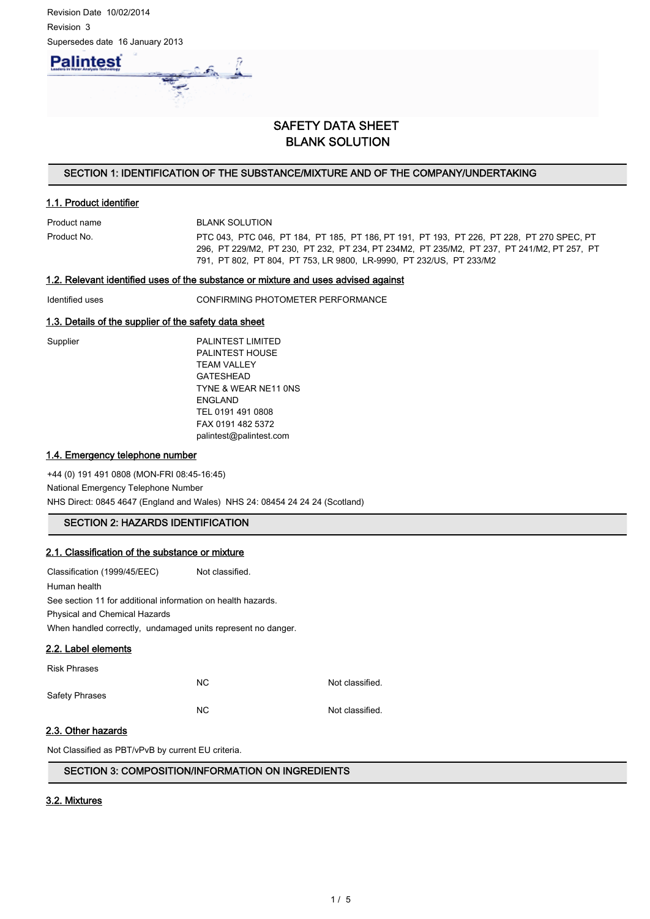

# SAFETY DATA SHEET BLANK SOLUTION

# SECTION 1: IDENTIFICATION OF THE SUBSTANCE/MIXTURE AND OF THE COMPANY/UNDERTAKING

# 1.1. Product identifier

Product name BLANK SOLUTION Product No. PTC 043, PTC 046, PT 184, PT 185, PT 186, PT 191, PT 193, PT 226, PT 228, PT 270 SPEC, PT 296, PT 229/M2, PT 230, PT 232, PT 234, PT 234M2, PT 235/M2, PT 237, PT 241/M2, PT 257, PT 791, PT 802, PT 804, PT 753, LR 9800, LR-9990, PT 232/US, PT 233/M2

## 1.2. Relevant identified uses of the substance or mixture and uses advised against

Identified uses CONFIRMING PHOTOMETER PERFORMANCE

### 1.3. Details of the supplier of the safety data sheet

| Supplier |
|----------|
|----------|

PALINTEST LIMITED PALINTEST HOUSE TEAM VALLEY GATESHEAD TYNE & WEAR NE11 0NS ENGLAND TEL 0191 491 0808 FAX 0191 482 5372 palintest@palintest.com

## 1.4. Emergency telephone number

+44 (0) 191 491 0808 (MON-FRI 08:45-16:45) National Emergency Telephone Number NHS Direct: 0845 4647 (England and Wales) NHS 24: 08454 24 24 24 (Scotland)

# SECTION 2: HAZARDS IDENTIFICATION

# 2.1. Classification of the substance or mixture

Classification (1999/45/EEC) Not classified. Human health See section 11 for additional information on health hazards. Physical and Chemical Hazards When handled correctly, undamaged units represent no danger.

#### 2.2. Label elements

| <b>Risk Phrases</b> |                |                 |
|---------------------|----------------|-----------------|
|                     | NC.            | Not classified. |
| Safety Phrases      |                |                 |
|                     | N <sub>C</sub> | Not classified. |

# 2.3. Other hazards

Not Classified as PBT/vPvB by current EU criteria.

# SECTION 3: COMPOSITION/INFORMATION ON INGREDIENTS

# 3.2. Mixtures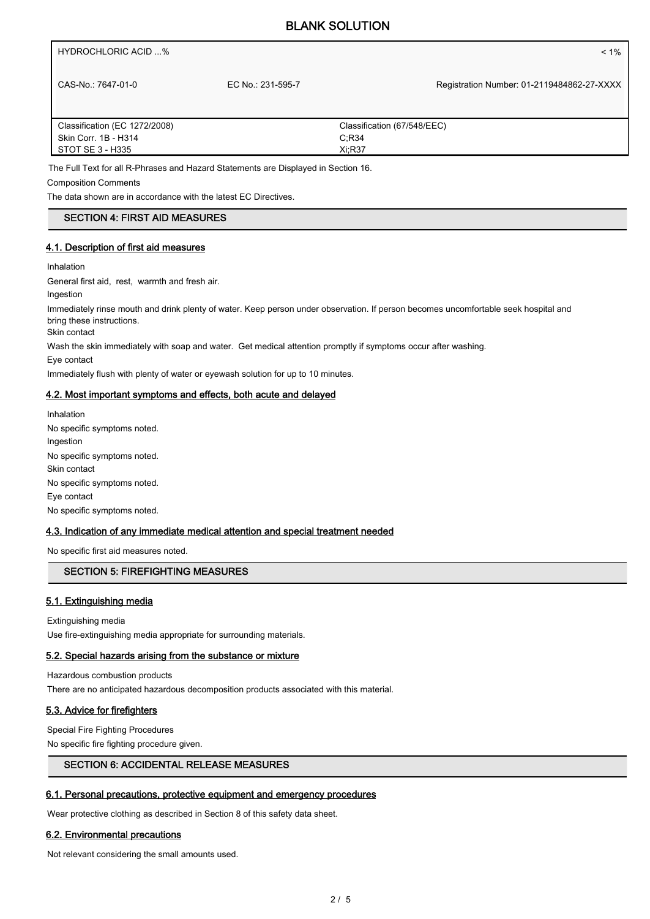# BLANK SOLUTION

HYDROCHLORIC ACID ...% < 1%

CAS-No.: 7647-01-0 EC No.: 231-595-7

Registration Number: 01-2119484862-27-XXXX

| Classification (EC 1272/2008) | Classification (67/548/EEC) |
|-------------------------------|-----------------------------|
| Skin Corr. 1B - H314          | C.R34                       |
| STOT SE 3 - H335              | Xi:R37                      |

The Full Text for all R-Phrases and Hazard Statements are Displayed in Section 16.

Composition Comments

The data shown are in accordance with the latest EC Directives.

# SECTION 4: FIRST AID MEASURES

# 4.1. Description of first aid measures

Inhalation

General first aid, rest, warmth and fresh air.

Ingestion

Immediately rinse mouth and drink plenty of water. Keep person under observation. If person becomes uncomfortable seek hospital and bring these instructions.

Skin contact

Wash the skin immediately with soap and water. Get medical attention promptly if symptoms occur after washing.

Eye contact

Immediately flush with plenty of water or eyewash solution for up to 10 minutes.

### 4.2. Most important symptoms and effects, both acute and delayed

Inhalation No specific symptoms noted. Ingestion No specific symptoms noted. Skin contact No specific symptoms noted. Eye contact No specific symptoms noted.

# 4.3. Indication of any immediate medical attention and special treatment needed

No specific first aid measures noted.

# SECTION 5: FIREFIGHTING MEASURES

# 5.1. Extinguishing media

Extinguishing media Use fire-extinguishing media appropriate for surrounding materials.

#### 5.2. Special hazards arising from the substance or mixture

Hazardous combustion products

There are no anticipated hazardous decomposition products associated with this material.

# 5.3. Advice for firefighters

Special Fire Fighting Procedures No specific fire fighting procedure given.

#### SECTION 6: ACCIDENTAL RELEASE MEASURES

# 6.1. Personal precautions, protective equipment and emergency procedures

Wear protective clothing as described in Section 8 of this safety data sheet.

# 6.2. Environmental precautions

Not relevant considering the small amounts used.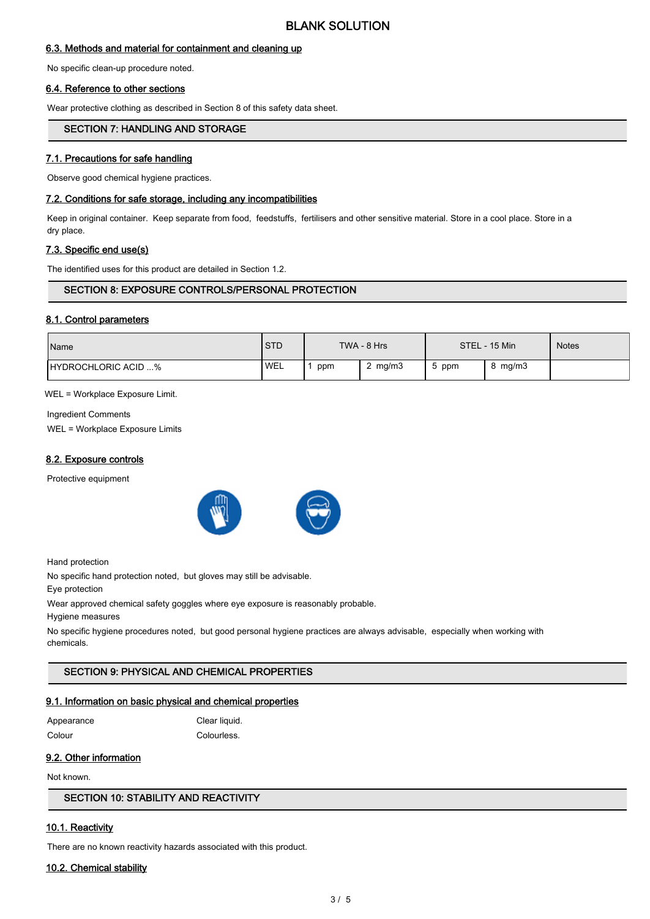## 6.3. Methods and material for containment and cleaning up

No specific clean-up procedure noted.

### 6.4. Reference to other sections

Wear protective clothing as described in Section 8 of this safety data sheet.

# SECTION 7: HANDLING AND STORAGE

## 7.1. Precautions for safe handling

Observe good chemical hygiene practices.

#### 7.2. Conditions for safe storage, including any incompatibilities

Keep in original container. Keep separate from food, feedstuffs, fertilisers and other sensitive material. Store in a cool place. Store in a dry place.

#### 7.3. Specific end use(s)

The identified uses for this product are detailed in Section 1.2.

# SECTION 8: EXPOSURE CONTROLS/PERSONAL PROTECTION

#### 8.1. Control parameters

| Name                       | <b>STD</b> |     | TWA - 8 Hrs |     | STEL - 15 Min | <b>Notes</b> |
|----------------------------|------------|-----|-------------|-----|---------------|--------------|
| <b>HYDROCHLORIC ACID %</b> | <b>WEL</b> | ppm | 2 $mg/m3$   | ppm | mg/m3         |              |

WEL = Workplace Exposure Limit.

Ingredient Comments WEL = Workplace Exposure Limits

#### 8.2. Exposure controls

Protective equipment





Hand protection

No specific hand protection noted, but gloves may still be advisable.

Eye protection

Wear approved chemical safety goggles where eye exposure is reasonably probable.

Hygiene measures

No specific hygiene procedures noted, but good personal hygiene practices are always advisable, especially when working with chemicals.

# SECTION 9: PHYSICAL AND CHEMICAL PROPERTIES

#### 9.1. Information on basic physical and chemical properties

| Appearance |
|------------|
| Colour     |

Clear liquid. Colourless.

# 9.2. Other information

Not known.

SECTION 10: STABILITY AND REACTIVITY

# 10.1. Reactivity

There are no known reactivity hazards associated with this product.

#### 10.2. Chemical stability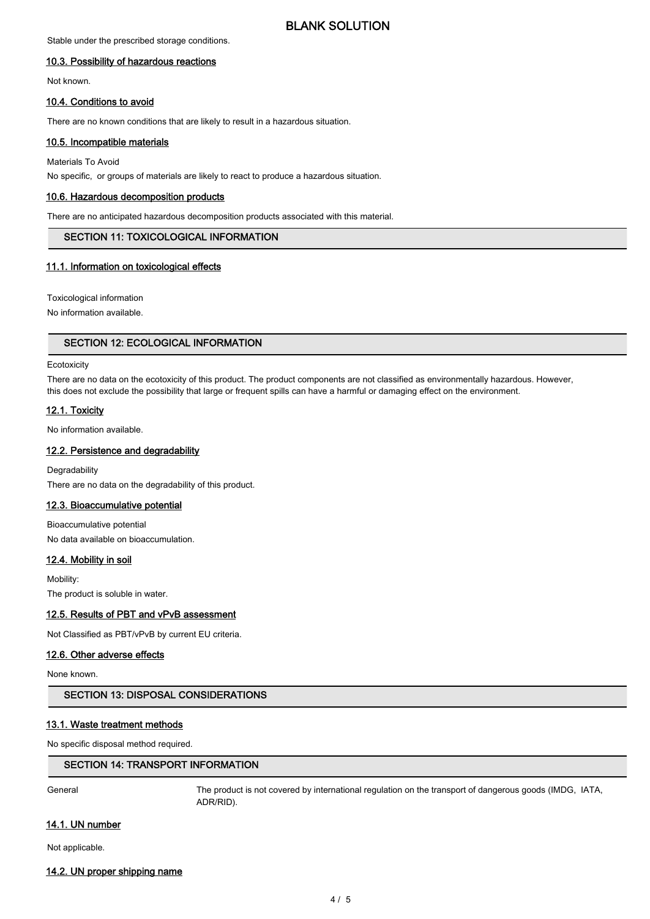# BLANK SOLUTION

Stable under the prescribed storage conditions.

### 10.3. Possibility of hazardous reactions

Not known.

#### 10.4. Conditions to avoid

There are no known conditions that are likely to result in a hazardous situation.

### 10.5. Incompatible materials

Materials To Avoid

No specific, or groups of materials are likely to react to produce a hazardous situation.

#### 10.6. Hazardous decomposition products

There are no anticipated hazardous decomposition products associated with this material.

# SECTION 11: TOXICOLOGICAL INFORMATION

### 11.1. Information on toxicological effects

Toxicological information

No information available.

## SECTION 12: ECOLOGICAL INFORMATION

#### **Ecotoxicity**

There are no data on the ecotoxicity of this product. The product components are not classified as environmentally hazardous. However, this does not exclude the possibility that large or frequent spills can have a harmful or damaging effect on the environment.

### 12.1. Toxicity

No information available.

### 12.2. Persistence and degradability

**Degradability** There are no data on the degradability of this product.

#### 12.3. Bioaccumulative potential

Bioaccumulative potential No data available on bioaccumulation.

# 12.4. Mobility in soil

Mobility: The product is soluble in water.

#### 12.5. Results of PBT and vPvB assessment

Not Classified as PBT/vPvB by current EU criteria.

#### 12.6. Other adverse effects

None known.

#### SECTION 13: DISPOSAL CONSIDERATIONS

## 13.1. Waste treatment methods

No specific disposal method required.

# SECTION 14: TRANSPORT INFORMATION

General The product is not covered by international regulation on the transport of dangerous goods (IMDG, IATA, ADR/RID).

#### 14.1. UN number

Not applicable.

#### 14.2. UN proper shipping name